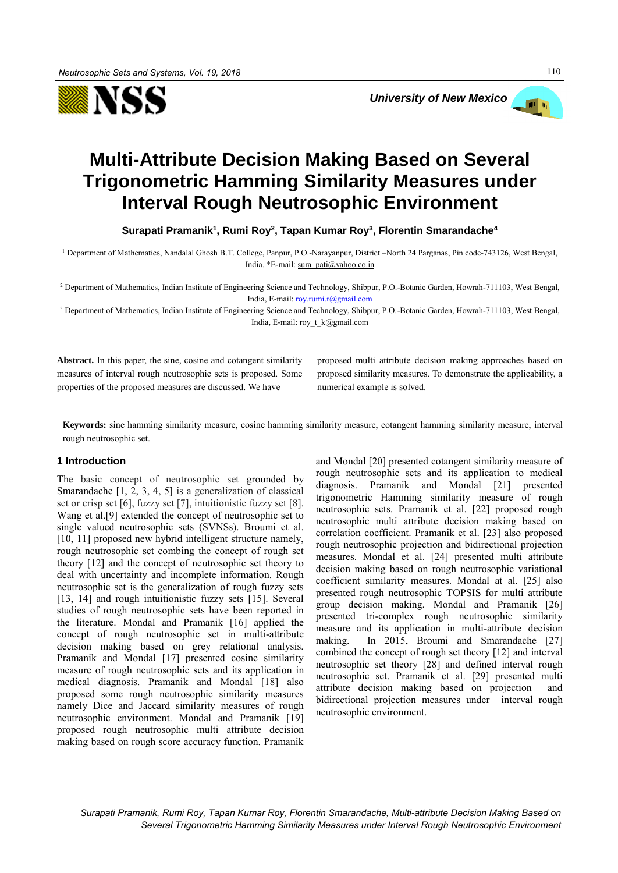



# **Multi-Attribute Decision Making Based on Several Trigonometric Hamming Similarity Measures under Interval Rough Neutrosophic Environment**

**Surapati Pramanik<sup>1</sup> , Rumi Roy<sup>2</sup> , Tapan Kumar Roy<sup>3</sup> , Florentin Smarandache<sup>4</sup>**

<sup>1</sup> Department of Mathematics, Nandalal Ghosh B.T. College, Panpur, P.O.-Narayanpur, District –North 24 Parganas, Pin code-743126, West Bengal, India. \*E-mail[: sura\\_pati@yahoo.co.in](mailto:sura_pati@yahoo.co.in)

<sup>2</sup> Department of Mathematics, Indian Institute of Engineering Science and Technology, Shibpur, P.O.-Botanic Garden, Howrah-711103, West Bengal, India, E-mail[: roy.rumi.r@gmail.com](mailto:roy.rumi.r@gmail.com)

<sup>3</sup> Department of Mathematics, Indian Institute of Engineering Science and Technology, Shibpur, P.O.-Botanic Garden, Howrah-711103, West Bengal, India, E-mail: roy\_t\_k@gmail.com

**Abstract.** In this paper, the sine, cosine and cotangent similarity measures of interval rough neutrosophic sets is proposed. Some properties of the proposed measures are discussed. We have

proposed multi attribute decision making approaches based on proposed similarity measures. To demonstrate the applicability, a numerical example is solved.

**Keywords:** sine hamming similarity measure, cosine hamming similarity measure, cotangent hamming similarity measure, interval rough neutrosophic set.

## **1 Introduction**

The basic concept of neutrosophic set grounded by Smarandache [1, 2, 3, 4, 5] is a generalization of classical set or crisp set [6], fuzzy set [7], intuitionistic fuzzy set [8]. Wang et al.[9] extended the concept of neutrosophic set to single valued neutrosophic sets (SVNSs). Broumi et al. [10, 11] proposed new hybrid intelligent structure namely, rough neutrosophic set combing the concept of rough set theory [12] and the concept of neutrosophic set theory to deal with uncertainty and incomplete information. Rough neutrosophic set is the generalization of rough fuzzy sets [13, 14] and rough intuitionistic fuzzy sets [15]. Several studies of rough neutrosophic sets have been reported in the literature. Mondal and Pramanik [16] applied the concept of rough neutrosophic set in multi-attribute decision making based on grey relational analysis. Pramanik and Mondal [17] presented cosine similarity measure of rough neutrosophic sets and its application in medical diagnosis. Pramanik and Mondal [18] also proposed some rough neutrosophic similarity measures namely Dice and Jaccard similarity measures of rough neutrosophic environment. Mondal and Pramanik [19] proposed rough neutrosophic multi attribute decision making based on rough score accuracy function. Pramanik and Mondal [20] presented cotangent similarity measure of rough neutrosophic sets and its application to medical diagnosis. Pramanik and Mondal [21] presented trigonometric Hamming similarity measure of rough neutrosophic sets. Pramanik et al. [22] proposed rough neutrosophic multi attribute decision making based on correlation coefficient. Pramanik et al. [23] also proposed rough neutrosophic projection and bidirectional projection measures. Mondal et al. [24] presented multi attribute decision making based on rough neutrosophic variational coefficient similarity measures. Mondal at al. [25] also presented rough neutrosophic TOPSIS for multi attribute group decision making. Mondal and Pramanik [26] presented tri-complex rough neutrosophic similarity measure and its application in multi-attribute decision making. In 2015, Broumi and Smarandache [27] combined the concept of rough set theory [12] and interval neutrosophic set theory [28] and defined interval rough neutrosophic set. Pramanik et al. [29] presented multi attribute decision making based on projection and bidirectional projection measures under interval rough neutrosophic environment.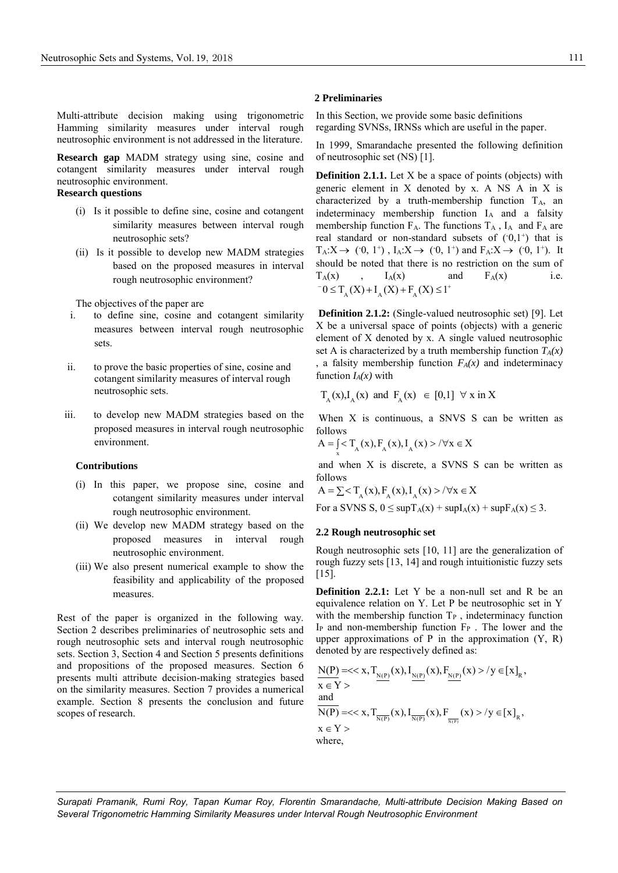Multi-attribute decision making using trigonometric Hamming similarity measures under interval rough neutrosophic environment is not addressed in the literature.

**Research gap** MADM strategy using sine, cosine and cotangent similarity measures under interval rough neutrosophic environment.

## **Research questions**

- (i) Is it possible to define sine, cosine and cotangent similarity measures between interval rough neutrosophic sets?
- (ii) Is it possible to develop new MADM strategies based on the proposed measures in interval rough neutrosophic environment?

The objectives of the paper are

- i. to define sine, cosine and cotangent similarity measures between interval rough neutrosophic sets.
- ii. to prove the basic properties of sine, cosine and cotangent similarity measures of interval rough neutrosophic sets.
- iii. to develop new MADM strategies based on the proposed measures in interval rough neutrosophic environment.

#### **Contributions**

- (i) In this paper, we propose sine, cosine and cotangent similarity measures under interval rough neutrosophic environment.
- (ii) We develop new MADM strategy based on the proposed measures in interval rough neutrosophic environment.
- (iii) We also present numerical example to show the feasibility and applicability of the proposed measures.

Rest of the paper is organized in the following way. Section 2 describes preliminaries of neutrosophic sets and rough neutrosophic sets and interval rough neutrosophic sets. Section 3, Section 4 and Section 5 presents definitions and propositions of the proposed measures. Section 6 presents multi attribute decision-making strategies based on the similarity measures. Section 7 provides a numerical example. Section 8 presents the conclusion and future scopes of research.

#### **2 Preliminaries**

In this Section, we provide some basic definitions regarding SVNSs, IRNSs which are useful in the paper.

In 1999, Smarandache presented the following definition of neutrosophic set (NS) [1].

**Definition 2.1.1.** Let X be a space of points (objects) with generic element in X denoted by x. A NS A in X is characterized by a truth-membership function  $T_A$ , an indeterminacy membership function  $I_A$  and a falsity membership function  $F_A$ . The functions  $T_A$ ,  $I_A$  and  $F_A$  are real standard or non-standard subsets of  $(0,1^+)$  that is  $T_A: X \to (0, 1^+)$ ,  $I_A: X \to (0, 1^+)$  and  $F_A: X \to (0, 1^+)$ . It should be noted that there is no restriction on the sum of  $T_A(x)$  ,  $I_A(x)$  and  $F_A(x)$  i.e.  $T_A(X)$ ,  $T_A(X)$  and<br> $0 \le T_A(X) + I_A(X) + F_A(X) \le 1^+$ 

**Definition 2.1.2:** (Single-valued neutrosophic set) [9]. Let X be a universal space of points (objects) with a generic element of X denoted by x. A single valued neutrosophic set A is characterized by a truth membership function  $T_A(x)$ , a falsity membership function  $F_A(x)$  and indeterminacy function  $I_A(x)$  with

$$
T_A(x) \cdot I_A(x)
$$
 and  $F_A(x) \in [0,1] \forall x \text{ in } X$ 

When X is continuous, a SNVS S can be written as follows

follows  
\n
$$
A = \int_{x}^{x} T_{A}(x), F_{A}(x), I_{A}(x) > / \forall x \in X
$$

and when X is discrete, a SVNS S can be written as follows

follows  
\n
$$
A = \sum \langle T_A(x), F_A(x), I_A(x) \rangle / \forall x \in X
$$

For a SVNS S,  $0 \leq \sup T_A(x) + \sup I_A(x) + \sup F_A(x) \leq 3$ .

#### **2.2 Rough neutrosophic set**

Rough neutrosophic sets [10, 11] are the generalization of rough fuzzy sets [13, 14] and rough intuitionistic fuzzy sets [15].

**Definition 2.2.1:** Let Y be a non-null set and R be an equivalence relation on Y. Let P be neutrosophic set in Y with the membership function  $T_P$ , indeterminacy function  $I_P$  and non-membership function  $F_P$ . The lower and the upper approximations of  $P$  in the approximation  $(Y, R)$ 

denoted by are respectively defined as:  
\n
$$
\frac{N(P)}{x \in Y} = \frac{x}{\sum_{N(P)} (x)} \left\{ \sum_{N(P)} (x) \cdot F_{\frac{N(P)}{N(P)}}(x) \right\} / y \in [x]_R,
$$
\n
$$
\frac{N(P)}{N(P)} = \frac{x}{\sum_{N(P)} (x)} \left\{ \sum_{N(P)} (x) \cdot F_{\frac{N(P)}{N(P)}}(x) \right\} / y \in [x]_R,
$$
\n
$$
x \in Y >
$$
\nwhere,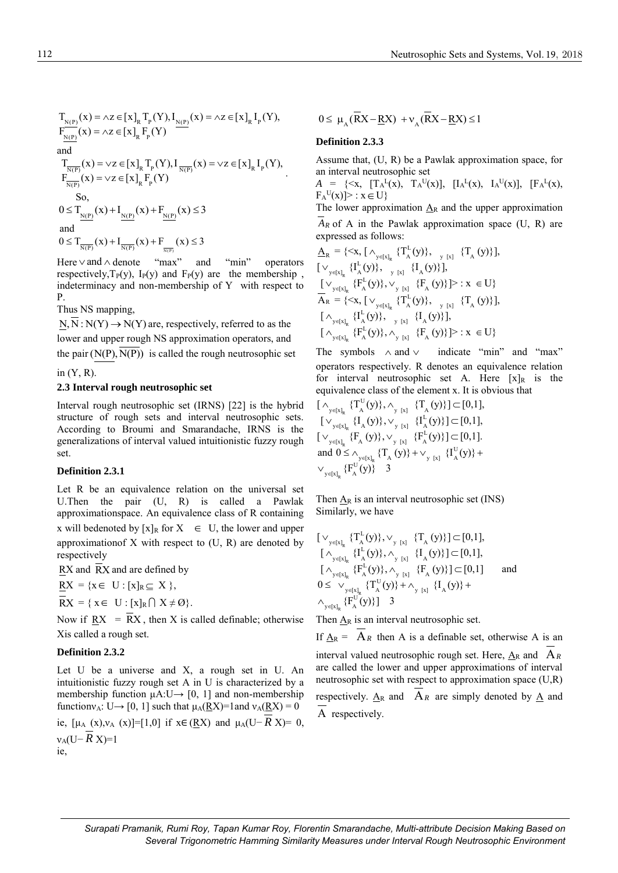$\overline{N(P)}(x) = \vee z \in [x]_R \mathcal{T}_P(Y), \mathcal{I}_{\overline{N(P)}}(x) = \vee z \in [x]_R \mathcal{I}_P(Y)$  $\sum_{N(P)} (x) = \vee z \in [x]_R F_p(Y)$ nd<br>  $T_{\overline{N(P)}}(x) = \vee z \in [x]_R T_p(Y), I_{\overline{N(P)}}(x) = \vee z \in [x]_R I_p(Y),$  $T_{\frac{\overline{N(P)}}{N(P)}}(x) = \vee z \in [x]_R T_p(Y), I_{\frac{\overline{N(P)}}{N(P)}}(x) = \vee z \in [x]_R F_p(Y)$ =  $\vee z \in [x]_R T_p(Y), I_{\frac{\overline{N(P)}}{N(P)}}(x) = \vee z \in [x]_R I_p$ =  $\vee$ z ∈ [x]<sub>R</sub> T<br>=  $\vee$ z ∈ [x]<sub>R</sub> F . So, So,<br>  $0 \le T_{\frac{N(P)}{N(P)}}(x) + I_{\frac{N(P)}{N(P)}}(x) + F_{\frac{N(P)}{N(P)}}(x) \le 3$ and and<br>  $0 \leq T_{\frac{\overline{N(P)}}{\overline{N(P)}}}(x) + I_{\frac{\overline{N(P)}}{\overline{N(P)}}}(x) + F_{\frac{\overline{N(P)}}{\overline{N(P)}}}(x) \leq 3$ Here  $\vee$  and  $\wedge$ "max" and "min" operators

 $N(P)$   $(X) = \wedge Z \in [x]_R T_p(Y),$   $I_{N(P)}(x) = \wedge Z \in [x]_R I_p(Y)$ 

 $T_{N(P)}(x) = \lambda z \in [x]_R T_p(Y), I_{N(P)}(x) = \lambda z \in [x]_R I_p(Y),$ 

=  $\wedge z \in [x]_R T_p(Y), I_{N(P)}(x) = \wedge z \in [x]_R I_p$ 

respectively,  $T_P(y)$ ,  $I_P(y)$  and  $F_P(y)$  are the membership, indeterminacy and non-membership of Y with respect to P.

Thus NS mapping,

 $\overline{N_{N(P)}(x)} = \wedge z \in [x]_R F_p(Y)$ 

 $T_{N(P)}(x) = \lambda z \in [x]_R T_p(Y), I_{N(P)}(x) = \lambda z \in [x]_R F_p(Y)$ 

=  $\wedge z \in [x]_R$  T<br>=  $\wedge z \in [x]_R$  F

 $\underline{N}, \overline{N}: N(Y) \rightarrow N(Y)$  are, respectively, referred to as the lower and upper rough NS approximation operators, and the pair  $(N(P), N(P))$  is called the rough neutrosophic set

in  $(Y, R)$ .

### **2.3 Interval rough neutrosophic set**

Interval rough neutrosophic set (IRNS) [22] is the hybrid structure of rough sets and interval neutrosophic sets. According to Broumi and Smarandache, IRNS is the generalizations of interval valued intuitionistic fuzzy rough set.

## **Definition 2.3.1**

Let R be an equivalence relation on the universal set U.Then the pair (U, R) is called a Pawlak approximationspace. An equivalence class of R containing x will bedenoted by  $[x]_R$  for  $X \in U$ , the lower and upper approximationof  $X$  with respect to  $(U, R)$  are denoted by respectively

RX and RX and are defined by

 $\overline{RX} = \{x \in U : [x]_R \subseteq X\},\$ 

 $\overline{RX} = \{ x \in U : [x]_R \cap X \neq \emptyset \}.$ 

Now if  $\overline{RX} = RX$ , then X is called definable; otherwise Xis called a rough set.

## **Definition 2.3.2**

Let U be a universe and X, a rough set in U. An intuitionistic fuzzy rough set A in U is characterized by a membership function  $\mu A: U \rightarrow [0, 1]$  and non-membership function $v_A: U \rightarrow [0, 1]$  such that  $\mu_A(\underline{RX}) = 1$  and  $v_A(\underline{RX}) = 0$ ie,  $[\mu_A(x), \nu_A(x)] = [1,0]$  if  $x \in (RX)$  and  $\mu_A(U-RX) = 0$ , νA(U− *R* X)=1 ie,

 $0 \leq \mu_A (\overline{R}X - \underline{R}X) + v_A (\overline{R}X - \underline{R}X) \leq 1$ 

## **Definition 2.3.3**

Assume that, (U, R) be a Pawlak approximation space, for an interval neutrosophic set

 $A = \{ \langle x, [\Gamma_A^L(x), \Gamma_A^U(x)], [\Gamma_A^L(x), \Gamma_A^U(x)], [\Gamma_A^L(x),$  $F_A^U(x)$  > :  $x \in U$ }

The lower approximation  $A_R$  and the upper approximation *A<sup>R</sup>* of A in the Pawlak approximation space (U, R) are

expressed as follows:  
\n
$$
\underline{A}_{R} = \{ \langle x, [\wedge_{y \in [x]_{R}} \{T_{A}^{L}(y)\}, \vee_{y \in [x]} \{T_{A} (y)\}], \vee_{y \in [x]_{R}} \{I_{A}^{L}(y)\}, \vee_{y \in [x]} \{I_{A} (y)\} \},
$$
\n
$$
\underline{[\vee_{y \in [x]_{R}} \{F_{A}^{L}(y)\}, \vee_{y \in [x]} \{F_{A} (y)\}] \} : x \in U \}
$$
\n
$$
\overline{A}_{R} = \{ \langle x, [\vee_{y \in [x]_{R}} \{T_{A}^{L}(y)\}, \vee_{y \in [x]} \{T_{A} (y)\}], \vee_{y \in [x]_{R}} \{F_{A}^{L}(y)\}, \vee_{y \in [x]} \{F_{A} (y)\} \},
$$
\n
$$
[\wedge_{y \in [x]_{R}} \{F_{A}^{L}(y)\}, \wedge_{y \in [x]} \{F_{A} (y)\} \} : x \in U \}
$$

The symbols  $\land$  and  $\lor$ indicate "min" and "max" operators respectively. R denotes an equivalence relation for interval neutrosophic set A. Here  $[x]_R$  is the equivalence class of the element x. It is obvious that  $[\wedge_{y \in [x]_b} \{T_A^U(y)\}, \wedge_{y [x]} \{T_A(y)\}] \subset [0,1],$ 

$$
\begin{array}{l} \left[ \begin{array}{cc} \wedge_{_{y \in \left[ x \right]_R}} \{T_A^U(y)\}, \wedge_{_{y \left[ x \right]}} \{T_A(y)\} \right] \subset [0,1], \\ \left[ \begin{array}{cc} \vee_{_{y \in \left[ x \right]_R}} \{I_A(y)\}, \vee_{_{y \left[ x \right]}} \{I_A^L(y)\} \right] \subset [0,1], \\ \left[ \begin{array}{cc} \vee_{_{y \in \left[ x \right]_R}} \{F_A(y)\}, \vee_{_{y \left[ x \right]}} \{F_A^L(y)\} \right] \subset [0,1]. \end{array} \right. \\ \text{and } 0 \leq \wedge_{_{y \in \left[ x \right]_R}} \{T_A(y)\} + \vee_{_{y \left[ x \right]}} \{I_A^U(y)\} + \\ \vee_{_{y \in \left[ x \right]_R}} \{F_A^U(y)\} & 3 \end{array} \end{array}
$$

Then  $\underline{A}_R$  is an interval neutrosophic set (INS) Similarly, we have

$$
\begin{array}{l} \left[ \begin{array}{cc} \vee_{y \in [x]_R} \{ T^L_A(y) \}, \vee_{y [x]} & \{ T_A \ (y) \} \right] \subset [0,1], \\ \left[ \begin{array}{cc} \wedge_{y \in [x]_R} \{ I^L_A(y) \}, \wedge_{y [x]} & \{ I_A(y) \} \end{array} \right] \subset [0,1], \\ \left[ \begin{array}{cc} \wedge_{y \in [x]_R} \{ F^L_A(y) \}, \wedge_{y [x]} & \{ F_A \ (y) \} \end{array} \right] \subset [0,1] \end{array} \quad \text{and} \\ 0 \leq \begin{array}{cc} \vee_{y \in [x]_R} \{ T^U_A(y) \} + \wedge_{y [x]} & \{ I_A(y) \} + \\ \wedge_{y \in [x]_R} \{ F^U_A(y) \} \end{array} \end{array}
$$

Then  $A_R$  is an interval neutrosophic set.

If  $\underline{A}_R = A_R$  then A is a definable set, otherwise A is an interval valued neutrosophic rough set. Here,  $A_R$  and  $A_R$ are called the lower and upper approximations of interval neutrosophic set with respect to approximation space (U,R) respectively.  $\underline{A}_R$  and  $A_R$  are simply denoted by  $\underline{A}$  and

and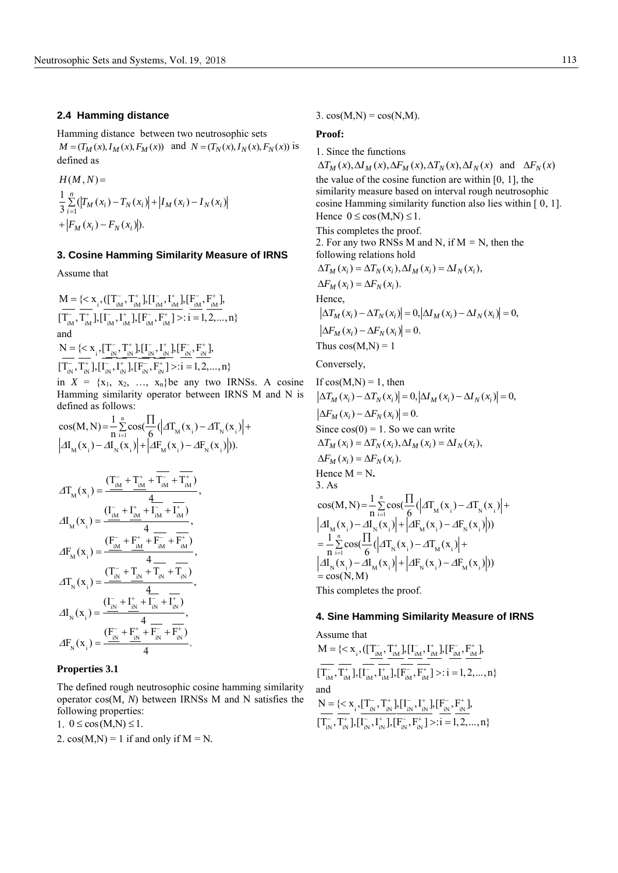#### **2.4 Hamming distance**

Hamming distance between two neutrosophic sets  $M = (T_M(x), I_M(x), F_M(x))$  and  $N = (T_N(x), I_N(x), F_N(x))$  is defined as

$$
H(M, N) =
$$
  
\n
$$
\frac{1}{3} \sum_{i=1}^{n} (|T_M(x_i) - T_N(x_i)| + |I_M(x_i) - I_N(x_i)|
$$
  
\n
$$
+ |F_M(x_i) - F_N(x_i)|).
$$

## **3. Cosine Hamming Similarity Measure of IRNS**

Assume that

 $_{i}$ ,  $(\left[\frac{T_{\text{IM}}^{-}}{T_{\text{IM}}}, \frac{T_{\text{IM}}^{+}}{T_{\text{IM}}}\right], \left[\frac{F_{\text{IM}}^{-}}{T_{\text{IM}}}\right], \left[\frac{F_{\text{IM}}^{-}}{T_{\text{IM}}}\right],$  $\sum_{i=1}^{N}$ ,  $T_{iM}^{+}$ ],  $[I_{iM}^{-}, I_{iM}^{+}]$ ,  $[F_{iM}^{-}, F_{iM}^{+}]$  $M = \{< x_{i}^{}, ([T_{iM}^-, T_{iM}^+], [I_{iM}^-, I_{iM}^+], [F_{iM}^-, F_{iM}^+],$  $[\overline{T_{iM}}^{\top}, \overline{T_{iM}^{\top}}], [\overline{I_{iM}^{\top}}, \overline{I_{iM}^{\top}}], [\overline{F_{iM}^{\top}}, \overline{F_{iM}^{\top}}] >: i = 1, 2, ..., n \}$  $-$  T<sup>+</sup> III<sup>-</sup> I<sup>+</sup> IIF<sup>-</sup> F<sup>+</sup> I  $-\frac{1}{T^+}$   $\frac{1}{T^-}$   $\frac{1}{T^+}$   $\frac{1}{T^-}$   $\frac{1}{T^+}$   $\frac{1}{T^-}$   $\frac{1}{T^+}$   $\frac{1}{T^-}$   $\frac{1}{T^+}$   $\frac{1}{T^-}$   $\frac{1}{T^+}$   $\frac{1}{T^+}$  $= {< x_i, (}$  $\frac{1}{2}$ ,  $\frac{1}{2}$ ,  $\frac{1}{2}$ ,  $\frac{1}{2}$ ,  $\frac{1}{2}$ ,  $\frac{1}{2}$ ,  $\frac{1}{2}$ ,  $\frac{1}{2}$ ,  $\frac{1}{2}$ and and<br>  $N = \{\langle x_i, [\underline{T_{iN}}^{\top},T_{iN}^{\top}],[\underline{I_{iN}}^{\top},\underline{I_{iN}^{\top}}],[\underline{F_{iN}}^{\top},\underline{F_{iN}^{\top}}],\}$  $\frac{1}{T_{\text{in}}}, \frac{1}{T_{\text{in}}}, \frac{1}{T_{\text{in}}}, \frac{1}{T_{\text{in}}}, \frac{1}{T_{\text{in}}}, \frac{1}{T_{\text{in}}}, \frac{1}{T_{\text{in}}}, \frac{1}{T_{\text{in}}}, \frac{1}{T_{\text{in}}}, \frac{1}{T_{\text{in}}}, \frac{1}{T_{\text{in}}}, \frac{1}{T_{\text{in}}}, \frac{1}{T_{\text{in}}}, \frac{1}{T_{\text{in}}}, \frac{1}{T_{\text{in}}}, \frac{1}{T_{\text{in}}}, \frac{1}{T_{\text{in}}$ in  $X = \{x_1, x_2, ..., x_n\}$ be any two IRNSs. A cosine

Hamming similarity operator between IRNS M and N is defined as follows:

cos(M, N) = 
$$
\frac{1}{n}\sum_{i=1}^{n} cos(\frac{\Pi}{6}(|AT_{M}(x_{i}) - AT_{N}(x_{i})| +
$$
  
\n $|AI_{M}(x_{i}) - AI_{N}(x_{i})| + |AF_{M}(x_{i}) - AF_{N}(x_{i})|).$ 

$$
\begin{split} &A T_{_{M}}(x_{_{i}})=\frac{(T_{_{iM}}^{-}+T_{_{iM}}^{+}+T_{_{iM}}^{-}+T_{_{iM}}^{+})}{4},\\ &A I_{_{M}}(x_{_{i}})=\frac{(I_{_{iM}}^{-}+I_{_{iM}}^{+}+I_{_{iM}}^{-}+I_{_{iM}}^{-})}{4},\\ &A F_{_{M}}(x_{_{i}})=\frac{(F_{_{iM}}^{-}+F_{_{iM}}^{+}+F_{_{iM}}^{-}+F_{_{iM}}^{+})}{4},\\ &A T_{_{N}}(x_{_{i}})=\frac{(T_{_{iN}}^{-}+T_{_{iN}}^{+}+T_{_{iN}}^{-}+T_{_{iN}}^{-})}{4},\\ &A I_{_{N}}(x_{_{i}})=\frac{(I_{_{iN}}^{-}+I_{_{iN}}^{+}+I_{_{iN}}^{-}+I_{_{iN}}^{+})}{4},\\ &A F_{_{N}}(x_{_{i}})=\frac{(F_{_{iN}}^{-}+F_{_{iN}}^{+}+F_{_{iN}}^{-}+F_{_{iN}}^{+})}{4}. \end{split}
$$

#### **Properties 3.1**

The defined rough neutrosophic cosine hamming similarity operator cos(M*, N*) between IRNSs M and N satisfies the following properties:

1.  $0 \le \cos(M, N) \le 1$ .

2.  $cos(M,N) = 1$  if and only if  $M = N$ .

#### 3.  $cos(M,N) = cos(N,M)$ .

#### **Proof:**

1. Since the functions  $\Delta T_M(x), \Delta I_M(x), \Delta F_M(x), \Delta T_N(x), \Delta I_N(x)$  and  $\Delta F_N(x)$ the value of the cosine function are within [0, 1], the similarity measure based on interval rough neutrosophic cosine Hamming similarity function also lies within [ 0, 1]. Hence  $0 \le \cos(M,N) \le 1$ . This completes the proof. 2. For any two RNSs M and N, if  $M = N$ , then the following relations hold  $\Delta F_M(x_i) = \Delta F_N(x_i).$  $\Delta T_M(x_i) = \Delta T_N(x_i), \Delta T_M(x_i) = \Delta T_N(x_i),$ Hence,  $\Delta F_M(x_i) - \Delta F_N(x_i) = 0.$  $\Delta T_M(x_i) - \Delta T_N(x_i) = 0, |\Delta I_M(x_i) - \Delta I_N(x_i)| = 0,$ Thus  $cos(M,N) = 1$ Conversely, If  $cos(M,N) = 1$ , then  $\Delta F_M(x_i) - \Delta F_N(x_i) = 0.$  $\Delta T_M(x_i) - \Delta T_N(x_i) = 0, |\Delta I_M(x_i) - \Delta I_N(x_i)| = 0,$ Since  $cos(0) = 1$ . So we can write  $\Delta F_M(x_i) = \Delta F_N(x_i).$  $\Delta T_M(x_i) = \Delta T_N(x_i), \Delta T_M(x_i) = \Delta T_N(x_i),$ Hence  $M = N$ . 3. As  $\sum_{i=1}^{n} \cos\left(\frac{\prod}{6} \left(\left|\Delta T_{M}(x_{i}) - \Delta T_{N}(x_{i})\right| + \right) \right)$  $\begin{aligned} &\mathbf{M}(\mathbf{x}_i) - \Delta \mathbf{I}_{N}(\mathbf{x}_i) + \left| \Delta \mathbf{F}_{M}(\mathbf{x}_i) - \Delta \mathbf{F}_{N}(\mathbf{x}_i) \right|) \\ &\frac{1}{N} \sum_{i=1}^{n} \cos\left(\frac{\Pi}{6} \left( \left| \Delta \mathbf{T}_{N}(\mathbf{x}_i) - \Delta \mathbf{T}_{M}(\mathbf{x}_i) \right| + \right)\right) \end{aligned}$  $\lim_{N}$  (x<sub>i</sub>) –  $\Delta I_M$  (x<sub>i</sub>) +  $\left| \Delta F_N(x_i) - \Delta F_M(x_i) \right|$ ) cos(M, N) =  $\frac{1}{n} \sum_{i=1}^{n} \cos(\frac{\Pi}{6} (\left| AT_{M}(x_{i}) - AT_{N}(x_{i})\right| +$  $I_{\rm M}(x_i) - \frac{1}{n} \sum_{i=1}^{N} (x_i) + \left| \Delta F_{\rm M}(x_i) - \Delta F_{\rm N}(x_i) \right|$  $\frac{1}{n} \sum_{i=1}^{n} \cos\left(\frac{\prod_{i=1}^{n} |A T_{N}(x_i) - A T_{M}(x_i)| + \cdots + \prod_{i=1}^{n} \cos\left(\frac{\prod_{i=1}^{n} |A T_{N}(x_i) - A T_{M}(x_i)| + \cdots + \prod_{i=1}^{n} \cos\left(\frac{\prod_{i=1}^{n} |A T_{N}(x_i) - A T_{M}(x_i)| + \cdots + \sum_{i=1}^{n} \cos\left(\frac{\prod_{i=1}^{n} |A T_{N}(x_i) - A T_{M}(x_i)| + \cdots + \sum_{i=1}^{n} \cos\left(\frac{\$  $\frac{1}{n} \sum_{i=1}^{n} \frac{\cos(\sqrt{4}x_i - \Delta x_i)}{6}$ <br>  $I_N(x_i) - \Delta I_M(x_i) + \Delta F_N(x_i) - \Delta F_M(x_i)$  $= cos(N, M)$  $\Delta T_{M}(x_i) - \Delta T_N(x_i)$  $\cos(M, N) = \frac{2}{\pi} \cos(\frac{1}{6} \left(\frac{1}{M} \cdot \frac{x_i}{N} - \Delta T\right))$ <br> $\Delta I_M(x_i) - \Delta I_N(x_i) + |\Delta F_M(x_i) - \Delta F_N(x_i)|$  $(X_i)$ |  $\top$ | $\Delta Y_M(X_i)$  –<br> $\Delta T_N(x_i) - \Delta T_M(x_i)$  $= -\sum_{n=1}^{\infty} \cos \left( \frac{1}{6} \left( \frac{1}{N} \right)^{n} - \frac{1}{N} \left( x_i \right) \right) +$ <br> $\Delta I_N(x_i) - \Delta I_M(x_i) + \Delta F_N(x_i) - \Delta F_M(x_i)$ =  $\overline{a}$  $=\frac{1}{N}\sum_{i=1}^{N}cos(\frac{\prod_{i=1}^{N}(x_i - \Delta T_N(x_i))}{\Delta T_N(x_i)} +$  $J = -\sum_{n=1}^{\infty} \cos(\frac{1}{6}(|\Delta T_{M}(x_i)-\Delta T_{N}(x_i)) - \Delta T_{N}(x_i)) + |\Delta F_{M}(x_i)-\Delta F_{N}(x_i)|$  $= \frac{1}{N} \sum_{i=1}^{N} \cos \left( \frac{\prod_{i=1}^{N} (\mathbf{x}_i)^2 + 2 \mathbf{H}_{M}(\mathbf{x}_i)^2 - 2 \mathbf{H}_{N}(\mathbf{x}_i)^2 \right)}{\sum_{i=1}^{N} \sum_{i=1}^{N} (\mathbf{x}_i)^2 + 2 \mathbf{H}_{M}(\mathbf{x}_i)^2 + \sum_{i=1}^{N} \sum_{i=1}^{N} (\mathbf{x}_i)^2 + \sum_{i=1}^{N} \sum_{i=1}^{N} (\mathbf{x}_i)^2 + \sum_{i=1}^{N} (\mathbf{x}_i)^2 + \sum_{i=1}^{N} (\$  $S(\frac{1}{6}(|\Delta I_{N}(X_i)-\Delta I_{M}(X_i)|+$ <br>-  $\Delta I_{M}(X_i)|+|\Delta F_{N}(X_i)-\Delta F_{M}(X_i)|$ This completes the proof.

## **4. Sine Hamming Similarity Measure of IRNS**

Assume that Assume that  $M = \{ \langle x_i,([\prod_{iM}^-, \prod_{iM}^+, \prod_{iM}^-, \prod_{iM}^+, \prod_{iM}^-, \underline{F}_{iM}^+, \underline{F}_{iM}^+, \underline{F}_{iM}^+, \underline{F}_{iM}^+, \underline{F}_{iM}^+, \underline{F}_{iM}^+, \underline{F}_{iM}^+, \underline{F}_{iM}^+, \underline{F}_{iM}^+, \underline{F}_{iM}^+, \underline{F}_{iM}^+, \underline{F}_{iM}^+, \underline{F}_{iM}^+, \underline{F}_{iM}^+, \underline{F}_{iM}^+, \underline{F}_{iM}^$  $\left[\overline{T_{iM}^{-}}, \overline{T_{iM}^{+}}\right], \left[\overline{I_{iM}^{-}}, \overline{I_{iM}^{+}}\right], \left[\overline{F_{iM}^{-}}, \overline{F_{iM}^{+}}\right] >: i = 1, 2, ..., n$ and and<br>  $N = \{ \langle x_{i}, [\underline{T_{iN}}^-, \underline{T_{iN}}^+] , [\underline{I_{iN}}^-, \underline{I_{iN}^+] , [\underline{F_{iN}}^-, \underline{F_{iN}^+} ],$  $\frac{1}{T_{\text{IN}}}\frac{1}{T_{\text{IN}}^{+}}\frac{1}{T_{\text{IN}}^{+}}\left[\prod_{i}^{T_{\text{IN}}},\frac{1}{T_{\text{IN}}^{+}}\right],\left[\frac{1}{T_{\text{IN}}^{+}},\frac{1}{T_{\text{IN}}^{+}}\right],\left[\frac{1}{T_{\text{IN}}^{+}},\frac{1}{T_{\text{IN}}^{+}}\right] >:\mathbf{i}=1,2,...,n\}$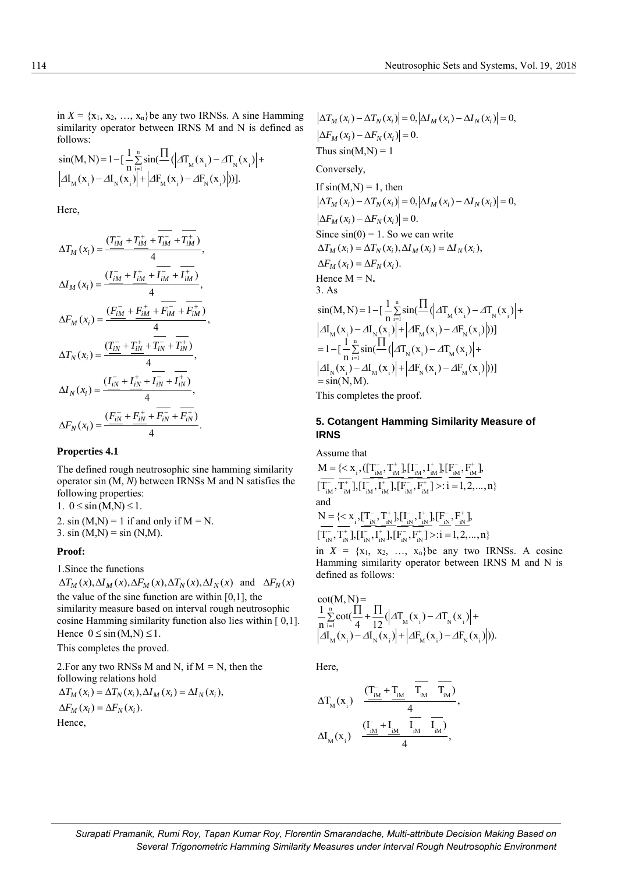in  $X = \{x_1, x_2, ..., x_n\}$  be any two IRNSs. A sine Hamming similarity operator between IRNS M and N is defined as follows:

$$
\sin(M, N) = 1 - \left[ \frac{1}{n} \sum_{i=1}^{n} \sin(\frac{\Pi}{\mu}(x_i) - \Delta T_N(x_i)) \right] +
$$
  
\n
$$
|\Delta I_M(x_i) - \Delta I_N(x_i)| + |\Delta F_M(x_i) - \Delta F_N(x_i)|).
$$

Here,

$$
\Delta T_M(x_i) = \frac{(T_{iM}^- + T_{iM}^+ + T_{iM}^- + T_{iM}^+) }{4},
$$
  
\n
$$
\Delta I_M(x_i) = \frac{(I_{iM}^- + I_{iM}^+ + T_{iM}^- + T_{iM}^+) }{4},
$$
  
\n
$$
\Delta F_M(x_i) = \frac{(F_{iM}^- + F_{iM}^+ + F_{iM}^- + F_{iM}^+) }{4},
$$
  
\n
$$
\Delta T_N(x_i) = \frac{(T_{iN}^- + T_{iN}^+ + T_{iN}^- + T_{iN}^+) }{4},
$$
  
\n
$$
\Delta I_N(x_i) = \frac{(I_{iN}^- + I_{iN}^+ + T_{iN}^- + T_{iN}^+) }{4},
$$
  
\n
$$
\Delta F_N(x_i) = \frac{(F_{iN}^- + F_{iN}^+ + F_{iN}^- + F_{iN}^+) }{4}.
$$

## **Properties 4.1**

The defined rough neutrosophic sine hamming similarity operator sin (M*, N*) between IRNSs M and N satisfies the following properties:

1.  $0 \leq \sin(M, N) \leq 1$ .

2. sin  $(M,N) = 1$  if and only if  $M = N$ . 3. sin  $(M,N) = \sin(N,M)$ .

#### **Proof:**

1.Since the functions

 $\Delta T_M(x), \Delta I_M(x), \Delta F_M(x), \Delta T_N(x), \Delta I_N(x)$  and  $\Delta F_N(x)$ the value of the sine function are within [0,1], the similarity measure based on interval rough neutrosophic cosine Hamming similarity function also lies within [ 0,1]. Hence  $0 \leq \sin(M, N) \leq 1$ .

This completes the proved.

2.For any two RNSs M and N, if  $M = N$ , then the following relations hold  $\Delta F_M(x_i) = \Delta F_N(x_i).$  $\Delta T_M(x_i) = \Delta T_N(x_i), \Delta T_M(x_i) = \Delta T_N(x_i),$ 

Hence,

 $\Delta F_M(x_i) - \Delta F_N(x_i) = 0.$  $\Delta T_M(x_i) - \Delta T_N(x_i) = 0, |\Delta I_M(x_i) - \Delta I_N(x_i)| = 0,$ Thus  $sin(M,N) = 1$ Conversely, If  $sin(M,N) = 1$ , then  $\Delta F_M(x_i) - \Delta F_N(x_i) = 0.$  $\Delta T_M(x_i) - \Delta T_N(x_i) = 0, |\Delta I_M(x_i) - \Delta I_N(x_i)| = 0,$ Since  $sin(0) = 1$ . So we can write  $\Delta F_M(x_i) = \Delta F_N(x_i).$  $\Delta T_M(x_i) = \Delta T_N(x_i), \Delta T_M(x_i) = \Delta T_N(x_i),$ Hence  $M = N$ . 3. As 5. As<br>  $\sin(M, N) = 1 - \left[ \frac{1}{n} \sum_{i=1}^{n} \sin(\frac{\Pi}{M} (\Delta T_M(x_i) - \Delta T_N(x_i)) \right] +$  $\mathbb{E}_{\mathbf{M}}(\mathbf{x}_{i}) - \Delta \mathbf{I}_{\mathbf{N}}(\mathbf{x}_{i}) + |\Delta \mathbf{F}_{\mathbf{M}}(\mathbf{x}_{i}) - \Delta \mathbf{F}_{\mathbf{N}}(\mathbf{x}_{i})|$ = 1- $[-\sum_{i} \sin(-(|A I_{N}(x_{i}) - \Delta I_{M}(x_{i})| + \Delta I_{N}(x_{i})) + \Delta I_{N}(x_{i}) - \Delta I_{N}(x_{i}) - \Delta I_{N}(x_{i})])]$  $I_{\rm M}(x_1, y) = I - \left[ \frac{Z}{n} \sin\left(-\left(\frac{Z}{n} \right)_{\rm M}(x_1) - Z_{n} \right)_{\rm M}(x_1) \right]$ <br> $I_{\rm M}(x_1) - Z_{n} \left(x_1, y_1\right) + \left| \frac{Z}{n} \left(x_1, y_1\right) - Z_{n} \left(x_1, y_1\right) \right|$  $\prod_{i=1}^{n} \frac{|\mathbf{A}_{i,i}|}{\mathbf{A}_{i,i}} = \frac{|\mathbf{A}_{i,i}|}{\mathbf{A}_{i,i}}$  $=$  sin(N,M). sin(M, N) = 1- $[-\sum_{n=1}^{\infty}$  sin(-- $(2\pi)^{1}_{M}(x_i)$ ) -  $\Delta I_M(x_i) - \Delta I_N(x_i)$  +  $\Delta F_M(x_i) - \Delta F_N(x_i)$  $|| + | \Delta \mathbf{r}_{M}(\mathbf{x}_{i}) - \Delta \mathbf{r}_{N}||$ <br> $\Delta \mathbf{T}_{N}(\mathbf{x}_{i}) - \Delta \mathbf{T}_{M}(\mathbf{x}_{i})$ ÷, = П =1- $\left[\frac{1}{n}\sum_{i=1}^{n} \sin(\frac{\Pi}{2}(\Delta T_{M}(x_i)-\Delta T_{N}(x_i))\right]+$  $J=1-[-\sum_{n=1}^{\infty} \frac{\sin(-(\Delta I_M(x_i))}{\sin(\Delta I_M(x_i))}$ П  $\begin{aligned} &\left|\Delta \mathbf{I}_{\mathrm{M}}(\mathbf{x}_{i})-\Delta \mathbf{I}_{\mathrm{N}}(\mathbf{x}_{i})\right|+\left|\Delta \mathbf{I}_{\mathrm{M}}(\mathbf{x}_{i})-\Delta \mathbf{I}_{\mathrm{N}}(\mathbf{x}_{i})\right|)\right|\\ &=1-\left[\frac{1}{N}\sum_{i=1}^{N}\sin(\frac{\prod_{i=1}^{N}\left|\Delta T_{\mathrm{N}}(\mathbf{x}_{i})-\Delta T_{\mathrm{M}}(\mathbf{x}_{i})\right|+\right.\\ \end{aligned}$ 

This completes the proof.

## **5. Cotangent Hamming Similarity Measure of IRNS**

Assume that

 $_{i}$ ,  $(\left[\frac{T_{\text{IM}}^{-}}{M},\frac{T_{\text{IM}}^{+}}\right],\left[\frac{I_{\text{IM}}^{-}}{M},\frac{I_{\text{IM}}^{+}}{M}\right],\left[\frac{F_{\text{IM}}^{-}}{M},\frac{F_{\text{IM}}^{+}}{M}\right],$  $\prod_{iM}^{\text{t}}$ ,  $\prod_{iM}^{\text{t}}$ ,  $\prod_{iM}^{\text{t}}$ ,  $\prod_{iM}^{\text{t}}$ ,  $\prod_{iM}^{\text{t}}$ ,  $\prod_{iM}^{\text{t}}$ Assume that<br>M = { $<$  x<sub>i</sub>,([T<sub>iM</sub>,T<sub>iM</sub>],[I<sub>iM</sub>,I<sub>iM</sub>],[F<sub>iM</sub>,F<sub>iM</sub>],  $\frac{1}{T_{\rm iM}^2} = \frac{1}{T_{\rm iM}^2} \frac{1}{T_{\rm iM}^2} \frac{1}{T_{\rm iM}^2} \frac{1}{T_{\rm iM}^2} \frac{1}{T_{\rm iM}^2} \frac{1}{T_{\rm iM}^2} \frac{1}{T_{\rm iM}^2} \frac{1}{T_{\rm iM}^2} \frac{1}{T_{\rm iM}^2} \frac{1}{T_{\rm iM}^2} \frac{1}{T_{\rm iM}^2} \frac{1}{T_{\rm iM}^2}$ - T<sup>+</sup> III<sup>-</sup> I<sup>+</sup> IIF<sup>-</sup> F<sup>+</sup> I  $-\frac{1}{T+1} \frac{1}{T-1} + \frac{1}{T+1} + \frac{1}{T-1} + \frac{1}{T+1} + \frac{1}{T+1}$ sume that<br>= {<  $x_i$ , (|  $\frac{1}{2}$ ,  $\frac{1}{2}$ ,  $\frac{1}{2}$ ,  $\frac{1}{2}$ ,  $\frac{1}{2}$ ,  $\frac{1}{2}$ ,  $\frac{1}{2}$ ,  $\frac{1}{2}$ ,  $\frac{1}{2}$ and and<br>  $N = \{ \langle x_i, [\underline{T}_{iN}^-, \underline{T}_{iN}^+] , [\underline{I}_{iN}^-, \underline{I}_{iN}^+] , [\underline{F}_{iN}^-, \underline{F}_{iN}^+] ,$  $\frac{\sum_{i=1}^{N} \sum_{i=1}^{N} \sum_{i=1}^{N} \sum_{i=1}^{N} \sum_{i=1}^{N} \sum_{i=1}^{N} \sum_{i=1}^{N} \sum_{i=1}^{N} \sum_{i=1}^{N} \sum_{i=1}^{N} \sum_{i=1}^{N} \sum_{i=1}^{N} \sum_{i=1}^{N} \sum_{i=1}^{N} \sum_{i=1}^{N} \sum_{i=1}^{N} \sum_{i=1}^{N} \sum_{i=1}^{N} \sum_{i=1}^{N} \sum_{i=1}^{N} \sum_{i=1}^{N} \sum_{i=1}^{$ 

in  $X = \{x_1, x_2, \ldots, x_n\}$ be any two IRNSs. A cosine Hamming similarity operator between IRNS M and N is defined as follows:

$$
cot(M, N) =
$$
  
\n
$$
\frac{1}{n} \sum_{i=1}^{n} cot(\frac{\prod_{i=1}^{n} \prod_{j=1}^{n} (|AT_{M}(x_{i}) - \Delta T_{N}(x_{i})| +
$$
  
\n
$$
|\Delta I_{M}(x_{i}) - \Delta I_{N}(x_{i})| + |\Delta F_{M}(x_{i}) - \Delta F_{N}(x_{i})|).
$$

Here,

$$
\Delta T_{M}(x_{i}) = \frac{\left(T_{iM}^{-} + T_{iM}^{-} - T_{iM}^{-} - T_{iM}^{-}\right)}{4},
$$
  

$$
\Delta I_{M}(x_{i}) = \frac{\left(T_{iM}^{-} + T_{iM}^{-} - T_{iM}^{-} - T_{iM}^{-}\right)}{4},
$$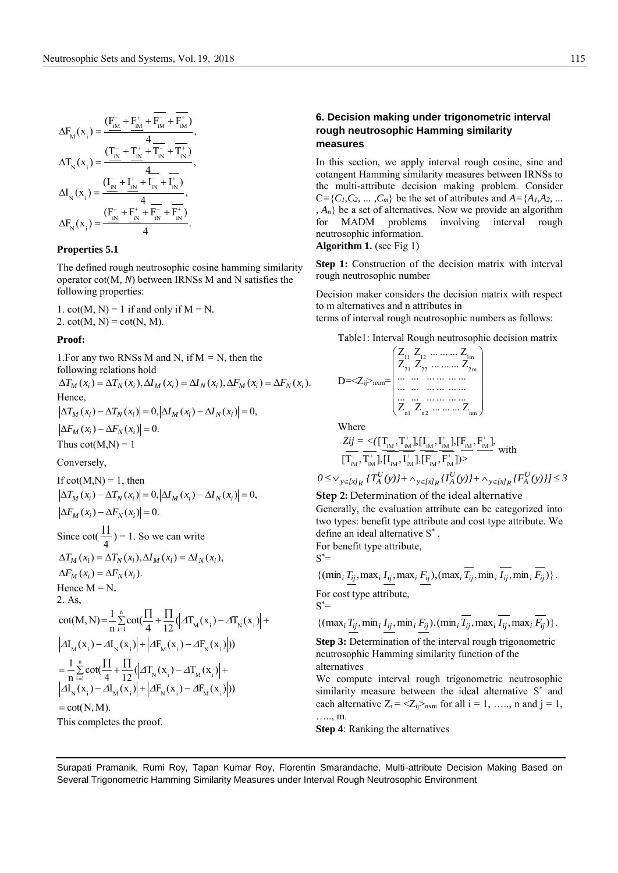$$
\Delta F_{M}(x_{i}) = \frac{(F_{iM}^{-} + F_{iM}^{+} + F_{iM}^{-} + F_{iM}^{+})}{4}
$$
\n
$$
\Delta T_{N}(x_{i}) = \frac{(T_{iN}^{-} + T_{iN}^{+} + T_{iN}^{-} + T_{iN}^{+})}{4}
$$
\n
$$
\Delta I_{N}(x_{i}) = \frac{(I_{iN}^{-} + I_{iN}^{+} + I_{iN}^{-} + I_{iN}^{+})}{4}
$$
\n
$$
\Delta F_{N}(x_{i}) = \frac{(F_{iN}^{-} + F_{iN}^{+} + F_{iN}^{-} + F_{iN}^{+})}{4}
$$

#### **Properties 5.1**

The defined rough neutrosophic cosine hamming similarity operator cot(M*, N*) between IRNSs M and N satisfies the following properties:

1.  $cot(M, N) = 1$  if and only if  $M = N$ . 2.  $cot(M, N) = cot(N, M)$ .

#### **Proof:**

1. For any two RNSs M and N, if  $M = N$ , then the following relations hold  $\Delta T_M(x_i) = \Delta T_N(x_i), \Delta T_M(x_i) = \Delta T_N(x_i), \Delta F_M(x_i) = \Delta F_N(x_i).$ Hence,  $\Delta F_M(x_i) - \Delta F_N(x_i) = 0.$  $\Delta T_M(x_i) - \Delta T_N(x_i) = 0, |\Delta I_M(x_i) - \Delta I_N(x_i)| = 0,$ Thus  $\cot(M,N) = 1$ 

Conversely,

If 
$$
\cot(M,N) = 1
$$
, then  
\n
$$
|\Delta T_M(x_i) - \Delta T_N(x_i)| = 0, |\Delta I_M(x_i) - \Delta I_N(x_i)| = 0,
$$
\n
$$
|\Delta F_M(x_i) - \Delta F_N(x_i)| = 0.
$$
\nSince  $\cot(\frac{\Pi}{4}) = 1$ . So we can write\n
$$
\Delta T_M(x_i) = \Delta T_N(x_i), \Delta I_M(x_i) = \Delta I_N(x_i),
$$
\n
$$
\Delta F_M(x_i) = \Delta F_N(x_i).
$$
\nHence  $M = N$ .\n2. As,\n
$$
\cot(M, N) = \frac{1}{n} \sum_{i=1}^n \cot(\frac{\Pi}{4} + \frac{\Pi}{12} (\Delta T_M(x_i) - \Delta T_N(x_i)) + |\Delta I_M(x_i) - \Delta I_N(x_i)| + |\Delta I_M(x_i) - \Delta I_N(x_i)|)
$$
\n
$$
= \frac{1}{n} \sum_{i=1}^n \cot(\frac{\Pi}{4} + \frac{\Pi}{12} (\Delta T_N(x_i) - \Delta T_M(x_i)) + |\Delta I_N(x_i) - \Delta I_N(x_i)| + |\Delta I_N(x_i) - \Delta I_N(x_i)| + |\Delta I_N(x_i) - \Delta I_N(x_i)|)
$$
\n
$$
= \cot(N, M).
$$
\nThis completes the proof.

This completes the proof.

## **6. Decision making under trigonometric interval rough neutrosophic Hamming similarity measures**

In this section, we apply interval rough cosine, sine and cotangent Hamming similarity measures between IRNSs to the multi-attribute decision making problem. Consider  $C = \{C_1, C_2, \ldots, C_m\}$  be the set of attributes and  $A = \{A_1, A_2, \ldots\}$ *, An*} be a set of alternatives. Now we provide an algorithm for MADM problems involving interval rough neutrosophic information. **Algorithm 1.** (see Fig 1)

**Step 1:** Construction of the decision matrix with interval rough neutrosophic number

Decision maker considers the decision matrix with respect to m alternatives and n attributes in

terms of interval rough neutrosophic numbers as follows:

Table1: Interval Rough neutrosophic decision matrix

$$
D = <\!\! Z_{ij}\!\!>_{nxm}\!\!=\!\! \begin{pmatrix} Z_{11} & Z_{12} & \ldots & \ldots & \ldots & Z_{1m} \\ Z_{21} & Z_{22} & \ldots & \ldots & \ldots & Z_{2m} \\ \ldots & \ldots & \ldots & \ldots & \ldots & \ldots \\ \ldots & \ldots & \ldots & \ldots & \ldots & \ldots \\ Z_{n1} & Z_{n2} & \ldots & \ldots & Z_{nm} \end{pmatrix}
$$

Where

where  
\n
$$
Zij = \langle [\Gamma_{IM}^{-}, \Gamma_{IM}^{+}] , [\Gamma_{IM}^{-}, \Gamma_{IM}^{+}] , [\Gamma_{IM}^{-}, \Gamma_{IM}^{+}] ,
$$
\n
$$
[\Gamma_{IM}^{-}, \Gamma_{IM}^{+}] , [\Gamma_{IM}^{-}, \Gamma_{IM}^{+}] , [\Gamma_{IM}^{-}, \Gamma_{IM}^{+}] \rangle >
$$
\n
$$
0 \le \vee_{y \in [x]_R} \{ T_A^U(y) \} + \wedge_{y \in [x]_R} \{ I_A^U(y) \} + \wedge_{y \in [x]_R} \{ F_A^U(y) \} ] \le 3
$$

**Step 2:** Determination of the ideal alternative

Generally, the evaluation attribute can be categorized into two types: benefit type attribute and cost type attribute. We define an ideal alternative S \* .

For benefit type attribute,  $S^* =$ 

$$
\{(\min_i \underline{T_{ij}}, \max_i \underline{I_{ij}}, \max_i \underline{F_{ij}}), (\max_i \overline{T_{ij}}, \min_i \overline{I_{ij}}, \min_i \overline{F_{ij}})\}.
$$
  
For cost type attribute,

 $S^* =$ 

$$
\{(\max_i T_{ij}, \min_i I_{ij}, \min_i F_{ij}), (\min_i \overline{T_{ij}}, \max_i \overline{I_{ij}}, \max_i \overline{F_{ij}})\}.
$$

**Step 3:** Determination of the interval rough trigonometric neutrosophic Hamming similarity function of the alternatives

We compute interval rough trigonometric neutrosophic similarity measure between the ideal alternative S<sup>\*</sup> and each alternative  $Z_i = \langle Z_{ij} \rangle_{n \times m}$  for all  $i = 1, \ldots, n$  and  $j = 1,$ ……, m.

**Step 4**: Ranking the alternatives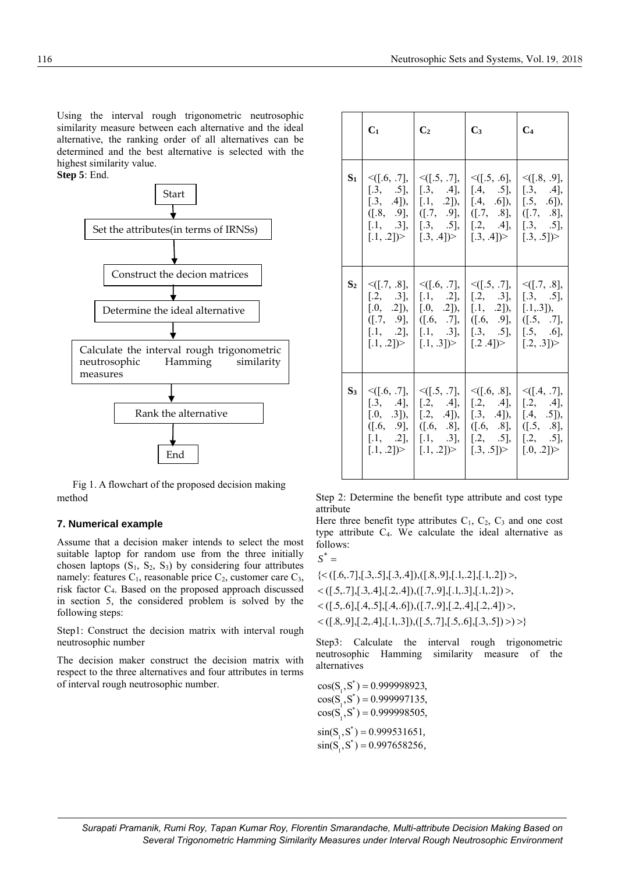Using the interval rough trigonometric neutrosophic similarity measure between each alternative and the ideal alternative, the ranking order of all alternatives can be determined and the best alternative is selected with the highest similarity value.



 Fig 1. A flowchart of the proposed decision making method

## **7. Numerical example**

Assume that a decision maker intends to select the most suitable laptop for random use from the three initially chosen laptops  $(S_1, S_2, S_3)$  by considering four attributes namely: features  $C_1$ , reasonable price  $C_2$ , customer care  $C_3$ , risk factor C4. Based on the proposed approach discussed in section 5, the considered problem is solved by the following steps:

Step1: Construct the decision matrix with interval rough neutrosophic number

The decision maker construct the decision matrix with respect to the three alternatives and four attributes in terms of interval rough neutrosophic number.

|       | $C_1$                                             | C <sub>2</sub>                                                                                                                                                                                                                                                                                                                                                          | $C_3$                                                          | $C_4$                                           |
|-------|---------------------------------------------------|-------------------------------------------------------------------------------------------------------------------------------------------------------------------------------------------------------------------------------------------------------------------------------------------------------------------------------------------------------------------------|----------------------------------------------------------------|-------------------------------------------------|
| $S_1$ | $\leq$ [.6, .7],<br>[.3, .5],                     | $\leq$ ([.5, .7],   $\leq$ ([.5, .6],<br>$[.3, .4]$ ,  <br>[.3, .4]), [.1, .2]), $[.4, .6]$ ),<br>$([.8, .9], [([.7, .9], [(.7, .8], [[.7, .8],$<br>$[.1, .3], [.3, .5], [.2, .4], [.3, .5],$<br>$[.1, .2]$ > $\begin{bmatrix} .3, .4 \end{bmatrix}$ > $\begin{bmatrix} .3, .4 \end{bmatrix}$ > $\begin{bmatrix} .3, .5 \end{bmatrix}$ >                                | $[.4, .5]$ ,                                                   | $\leq$ ([.8, .9],<br>[.3, .4],<br>$[.5, .6]$ ), |
|       | $S_2 \mid \leq ([.7, .8],$<br>$[.2, .3]$ ,        | $[.0, 0.2]$ , $[.0, 0.2]$ , $[.1, 0.2]$ , $[.1, 0.2]$ , $[.1, 0.3]$ ,<br>$([.7, .9], [(.6, .7], [(.6, .9], [(.5, .7],$<br>$[.1, 0.2], [.1, 0.3], [.3, 0.5], [.5, 0.6],$<br>$[.1, .2]$ $\triangleright$ $\lfloor .1, .3 \rfloor$ $\triangleright$ $\lfloor .2.4 \rfloor$ $\triangleright$ $\lfloor .2, .3 \rfloor$ $\triangleright$                                      | $\leq$ [[.6, .7],   $\leq$ [[.5, .7],<br>[.1, 0.2], [.2, 0.3], | $\leq$ [.7, .8],<br>[.3, .5],                   |
| $S_3$ | $\leq$ [.6, .7],<br>$[.3, .4]$ ,<br>$[.0, .3]$ ), | $\leq$ [.5, .7],  <br>$\begin{bmatrix} .2, & .4 \end{bmatrix}, \begin{bmatrix} .2, & .4 \end{bmatrix}, \begin{bmatrix} .2, & .4 \end{bmatrix},$<br>$([.6, .9], [([.6, .8], [([.6, .8], [([.5, .8],$<br>$[.1, 0.2], [.1, 0.3], [.2, 0.5], [.2, 0.5],$<br>$[.1, .2]$ $\triangleright$ $[.1, .2]$ $\triangleright$ $[.3, .5]$ $\triangleright$ $[.0, .2]$ $\triangleright$ | $\leq$ [.6, .8],<br>$[.2, .4]$ , $[.3, .4]$ ,                  | $\leq$ [.4, .7],<br>$[.4, .5]$ ),               |

Step 2: Determine the benefit type attribute and cost type attribute

Here three benefit type attributes  $C_1$ ,  $C_2$ ,  $C_3$  and one cost type attribute C4. We calculate the ideal alternative as follows:

$$
S^* =
$$

 $\langle ([.8, .9], [.2, .4], [.1, .3]), ([.5, .7], [.5, .6], [.3, .5]) \rangle \rangle$  $\langle$  ([.5,.6],[.4,.5],[.4,.6]),([.7,.9],[.2,.4],[.2,.4]) >,  $\lt([.5, .7], [.3, .4], [.2, .4]), ([.7, .9], [.1, .3], [.1, .2])$  $\{<($  [.6,.7], [.3,.5], [.3,.4]), ([.8,.9], [.1,.2], [.1,.2]) >,

Step3: Calculate the interval rough trigonometric neutrosophic Hamming similarity measure of the alternatives

\*  $cos(S_1, S^*) = 0.999998923,$ \*  $cos(S_1^1, S_2^2) = 0.999997135,$ \*  $cos(S_1^1, S^*) = 0.999998505,$ \*  $\sin(S_1, S^*) = 0.999531651,$ \*  $\sin(S_1^{\dagger}, S^*) = 0.997658256,$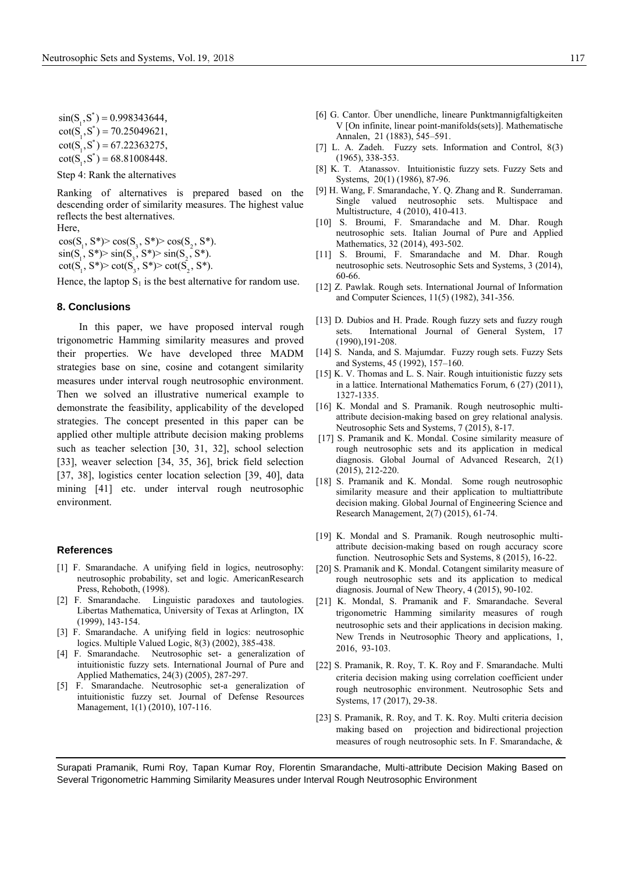\*  $\sin(S_1, S^*) = 0.998343644,$ \*  $\cot(S_1, S^*) = 70.25049621,$  $\cot(S_1, S^*) = 67.22363275,$  $\begin{bmatrix} 1 & -1 \\ 1 & -1 \end{bmatrix}$ 

 $\cot(S_1^{\text{T}}, S^*) = 68.81008448.$ 

Step 4: Rank the alternatives

Ranking of alternatives is prepared based on the descending order of similarity measures. The highest value reflects the best alternatives.

Here,

1 3 2  $1'$   $\sim$   $1'$   $\sim$   $3'$   $\sim$   $1'$   $\sim$   $2$  $cos(S_1, S^*)$  >  $cos(S_3, S^*)$  >  $cos(S_2, S^*)$ .  $\cos(S_1, S^*) > \cos(S_3, S^*) > \cos(S_2, S^*)$ <br>  $\sin(S_1, S^*) > \sin(S_3, S^*) > \sin(S_2, S^*)$ .

 $1^{\frac{1}{2}}$   $1^{\frac{1}{2}}$  $\text{sn}(S_1, S^*)$ >  $\text{sn}(S_3, S^*)$ >  $\text{sn}(S_2, S^*)$ .<br>  $\text{cot}(S_1, S^*)$ >  $\text{cot}(S_3, S^*)$ >  $\text{cot}(S_2, S^*)$ .

Hence, the laptop  $S_1$  is the best alternative for random use.

#### **8. Conclusions**

In this paper, we have proposed interval rough trigonometric Hamming similarity measures and proved their properties. We have developed three MADM strategies base on sine, cosine and cotangent similarity measures under interval rough neutrosophic environment. Then we solved an illustrative numerical example to demonstrate the feasibility, applicability of the developed strategies. The concept presented in this paper can be applied other multiple attribute decision making problems such as teacher selection [30, 31, 32], school selection [33], weaver selection [34, 35, 36], brick field selection [37, 38], logistics center location selection [39, 40], data mining [41] etc. under interval rough neutrosophic environment.

#### **References**

- [1] F. Smarandache. A unifying field in logics, neutrosophy: neutrosophic probability, set and logic. AmericanResearch Press, Rehoboth, (1998).
- [2] F. Smarandache. Linguistic paradoxes and tautologies. Libertas Mathematica, University of Texas at Arlington, IX (1999), 143-154.
- [3] F. Smarandache. A unifying field in logics: neutrosophic logics. Multiple Valued Logic, 8(3) (2002), 385-438.
- [4] F. Smarandache. Neutrosophic set- a generalization of intuitionistic fuzzy sets. International Journal of Pure and Applied Mathematics, 24(3) (2005), 287-297.
- [5] F. Smarandache. Neutrosophic set-a generalization of intuitionistic fuzzy set. Journal of Defense Resources Management, 1(1) (2010), 107-116.
- [6] G. Cantor. Über unendliche, lineare Punktmannigfaltigkeiten V [On infinite, linear point-manifolds(sets)]. Mathematische Annalen, 21 (1883), 545–591.
- [7] L. A. Zadeh. Fuzzy sets. Information and Control, 8(3) (1965), 338-353.
- [8] K. T. Atanassov. Intuitionistic fuzzy sets. Fuzzy Sets and Systems, 20(1) (1986), 87-96.
- [9] H. Wang, F. Smarandache, Y. Q. Zhang and R. Sunderraman. Single valued neutrosophic sets. Multispace and Multistructure, 4 (2010), 410-413.
- [10] S. Broumi, F. Smarandache and M. Dhar. Rough neutrosophic sets. Italian Journal of Pure and Applied Mathematics, 32 (2014), 493-502.
- [11] S. Broumi, F. Smarandache and M. Dhar. Rough neutrosophic sets. Neutrosophic Sets and Systems, 3 (2014), 60-66.
- [12] Z. Pawlak. Rough sets. International Journal of Information and Computer Sciences, 11(5) (1982), 341-356.
- [13] D. Dubios and H. Prade. Rough fuzzy sets and fuzzy rough sets. International Journal of General System, 17 (1990),191-208.
- [14] S. Nanda, and S. Majumdar. Fuzzy rough sets. Fuzzy Sets and Systems, 45 (1992), 157–160.
- [15] K. V. Thomas and L. S. Nair. Rough intuitionistic fuzzy sets in a lattice. International Mathematics Forum, 6 (27) (2011), 1327-1335.
- [16] K. Mondal and S. Pramanik. Rough neutrosophic multiattribute decision-making based on grey relational analysis. Neutrosophic Sets and Systems, 7 (2015), 8-17.
- [17] S. Pramanik and K. Mondal. Cosine similarity measure of rough neutrosophic sets and its application in medical diagnosis. Global Journal of Advanced Research, 2(1) (2015), 212-220.
- [18] S. Pramanik and K. Mondal. Some rough neutrosophic similarity measure and their application to multiattribute decision making. Global Journal of Engineering Science and Research Management, 2(7) (2015), 61-74.
- [19] K. Mondal and S. Pramanik. Rough neutrosophic multiattribute decision-making based on rough accuracy score function. Neutrosophic Sets and Systems, 8 (2015), 16-22.
- [20] S. Pramanik and K. Mondal. Cotangent similarity measure of rough neutrosophic sets and its application to medical diagnosis. Journal of New Theory, 4 (2015), 90-102.
- [21] K. Mondal, S. Pramanik and F. Smarandache. Several trigonometric Hamming similarity measures of rough neutrosophic sets and their applications in decision making. New Trends in Neutrosophic Theory and applications, 1, 2016, 93-103.
- [22] S. Pramanik, R. Roy, T. K. Roy and F. Smarandache. Multi [criteria decision making using correlation coefficient under](http://fs.gallup.unm.edu/nss/MultiCriteriaDecisionMakingUsingCorrelation.pdf)  [rough neutrosophic environment.](http://fs.gallup.unm.edu/nss/MultiCriteriaDecisionMakingUsingCorrelation.pdf) Neutrosophic Sets and Systems, 17 (2017), 29-38.
- [23] S. Pramanik, R. Roy, and T. K. Roy. Multi criteria decision making based on projection and bidirectional projection measures of rough neutrosophic sets. In F. Smarandache, &